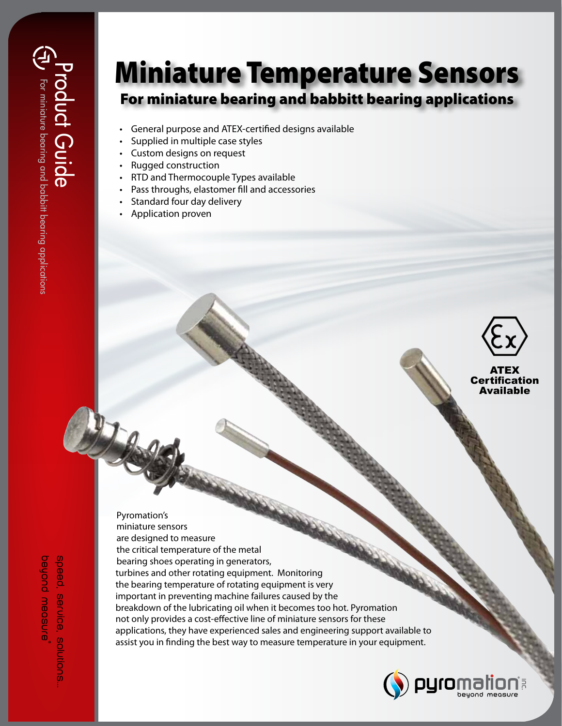## Miniature Temperature Sensors For miniature bearing and babbitt bearing applications

- General purpose and ATEX-certified designs available
- Supplied in multiple case styles
- Custom designs on request
- Rugged construction
- RTD and Thermocouple Types available
- Pass throughs, elastomer fill and accessories
- Standard four day delivery
- Application proven



ATEX Certification Available

Pyromation's miniature sensors are designed to measure the critical temperature of the metal bearing shoes operating in generators, turbines and other rotating equipment. Monitoring the bearing temperature of rotating equipment is very important in preventing machine failures caused by the breakdown of the lubricating oil when it becomes too hot. Pyromation not only provides a cost-effective line of miniature sensors for these applications, they have experienced sales and engineering support available to assist you in finding the best way to measure temperature in your equipment.



beyond measure speed, service, solutions beyond measure®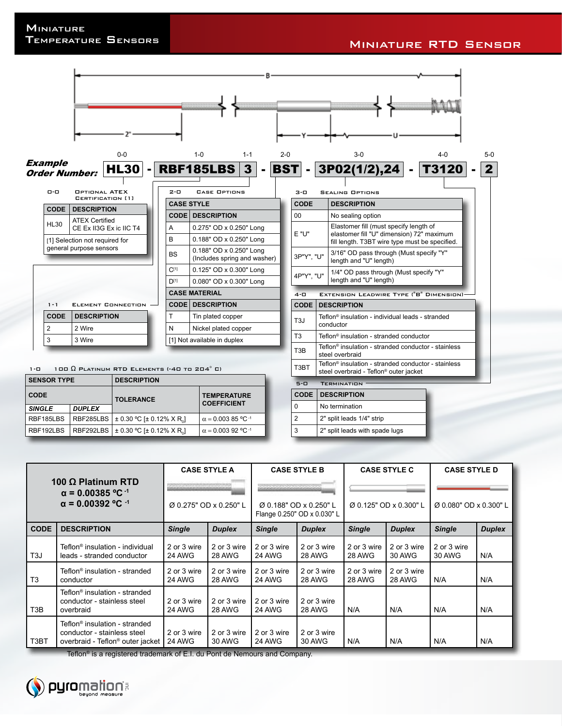

| <b>CODE</b>   |               | <b>TOLERANCE</b>                                           | <b>TEMPERATURE</b><br><b>COEFFICIENT</b> |  |
|---------------|---------------|------------------------------------------------------------|------------------------------------------|--|
| <b>SINGLE</b> | <b>DUPLEX</b> |                                                            |                                          |  |
| RBF185LBS     |               | RBF285LBS   ± 0.30 °C [± 0.12% X R.]                       | $\alpha$ = 0.003 85 °C <sup>-1</sup>     |  |
| RBF192LBS     |               | RBF292LBS   $\pm$ 0.30 °C [ $\pm$ 0.12% X R <sub>a</sub> ] | $\alpha = 0.00392$ °C <sup>-1</sup>      |  |

| 100 $\Omega$ Platinum RTD<br>$\alpha$ = 0.00385 °C <sup>-1</sup><br>$\alpha$ = 0.00392 °C <sup>-1</sup> |                                                                                                                          | <b>CASE STYLE A</b><br>Ø 0.275" OD x 0.250" L |                       | <b>CASE STYLE B</b><br>Ø 0.188" OD x 0.250" L<br>Flange 0.250" OD x 0.030" L |                       | <b>CASE STYLE C</b><br>Ø 0.125" OD x 0.300" L |                       | <b>CASE STYLE D</b><br>Ø 0.080" OD x 0.300" L |               |
|---------------------------------------------------------------------------------------------------------|--------------------------------------------------------------------------------------------------------------------------|-----------------------------------------------|-----------------------|------------------------------------------------------------------------------|-----------------------|-----------------------------------------------|-----------------------|-----------------------------------------------|---------------|
| <b>CODE</b>                                                                                             | <b>DESCRIPTION</b>                                                                                                       | <b>Single</b>                                 | <b>Duplex</b>         | <b>Single</b>                                                                | <b>Duplex</b>         | <b>Single</b>                                 | <b>Duplex</b>         | <b>Single</b>                                 | <b>Duplex</b> |
| T <sub>3</sub> J                                                                                        | Teflon <sup>®</sup> insulation - individual<br>leads - stranded conductor                                                | 2 or 3 wire<br>24 AWG                         | 2 or 3 wire<br>28 AWG | 2 or 3 wire<br>24 AWG                                                        | 2 or 3 wire<br>28 AWG | 2 or 3 wire<br>28 AWG                         | 2 or 3 wire<br>30 AWG | 2 or 3 wire<br>30 AWG                         | N/A           |
| T <sub>3</sub>                                                                                          | Teflon <sup>®</sup> insulation - stranded<br>conductor                                                                   | 2 or 3 wire<br>24 AWG                         | 2 or 3 wire<br>28 AWG | 2 or 3 wire<br>24 AWG                                                        | 2 or 3 wire<br>28 AWG | 2 or 3 wire<br>28 AWG                         | 2 or 3 wire<br>28 AWG | N/A                                           | N/A           |
| T3B                                                                                                     | Teflon <sup>®</sup> insulation - stranded<br>conductor - stainless steel<br>overbraid                                    | 2 or 3 wire<br>24 AWG                         | 2 or 3 wire<br>28 AWG | 2 or 3 wire<br>24 AWG                                                        | 2 or 3 wire<br>28 AWG | N/A                                           | N/A                   | N/A                                           | N/A           |
| T3BT                                                                                                    | Teflon <sup>®</sup> insulation - stranded<br>conductor - stainless steel<br>overbraid - Teflon <sup>®</sup> outer jacket | 2 or 3 wire<br>24 AWG                         | 2 or 3 wire<br>30 AWG | 2 or 3 wire<br>24 AWG                                                        | 2 or 3 wire<br>30 AWG | N/A                                           | N/A                   | N/A                                           | N/A           |

2 2" split leads 1/4" strip 3 2" split leads with spade lugs

Teflon® is a registered trademark of E.I. du Pont de Nemours and Company.

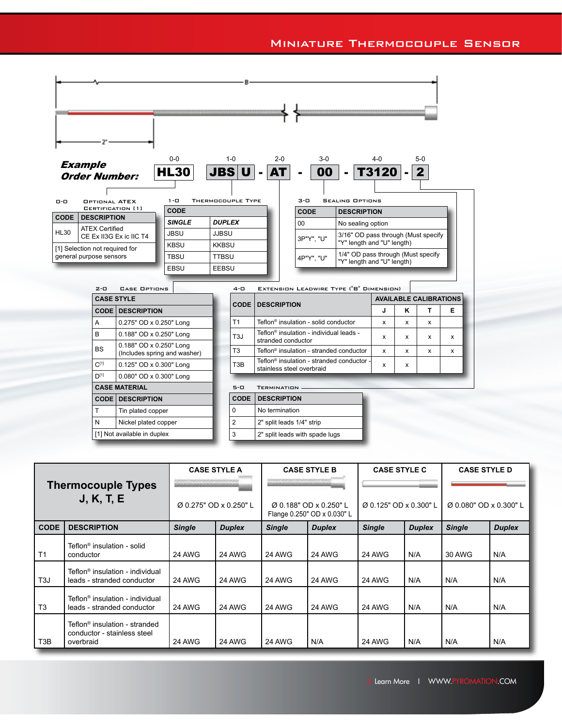

| <b>Thermocouple Types</b><br><b>J, K, T, E</b> |                                                                                       | <b>CASE STYLE A</b><br>والمحاولة المردوب والمستحرم |               | <b>CASE STYLE B</b>                                   |               | <b>CASE STYLE C</b>    |               | <b>CASE STYLE D</b>    |               |
|------------------------------------------------|---------------------------------------------------------------------------------------|----------------------------------------------------|---------------|-------------------------------------------------------|---------------|------------------------|---------------|------------------------|---------------|
|                                                |                                                                                       | Ø 0.275" OD x 0.250" L                             |               | Ø 0.188" OD x 0.250" L<br>Flange 0.250" OD x 0.030" L |               | Ø 0.125" OD x 0.300" L |               | Ø 0.080" OD x 0.300" L |               |
| <b>CODE</b>                                    | <b>DESCRIPTION</b>                                                                    | <b>Single</b>                                      | <b>Duplex</b> | <b>Single</b>                                         | <b>Duplex</b> | <b>Single</b>          | <b>Duplex</b> | <b>Single</b>          | <b>Duplex</b> |
| T <sub>1</sub>                                 | Teflon <sup>®</sup> insulation - solid<br>conductor                                   | 24 AWG                                             | 24 AWG        | 24 AWG                                                | 24 AWG        | 24 AWG                 | N/A           | 30 AWG                 | N/A           |
| T <sub>3</sub> J                               | Teflon <sup>®</sup> insulation - individual<br>leads - stranded conductor             | <b>24 AWG</b>                                      | 24 AWG        | 24 AWG                                                | 24 AWG        | 24 AWG                 | N/A           | N/A                    | N/A           |
| T <sub>3</sub>                                 | Teflon <sup>®</sup> insulation - individual<br>leads - stranded conductor             | <b>24 AWG</b>                                      | 24 AWG        | 24 AWG                                                | <b>24 AWG</b> | 24 AWG                 | N/A           | N/A                    | N/A           |
| T3B                                            | Teflon <sup>®</sup> insulation - stranded<br>conductor - stainless steel<br>overbraid | 24 AWG                                             | 24 AWG        | 24 AWG                                                | N/A           | 24 AWG                 | N/A           | N/A                    | N/A           |